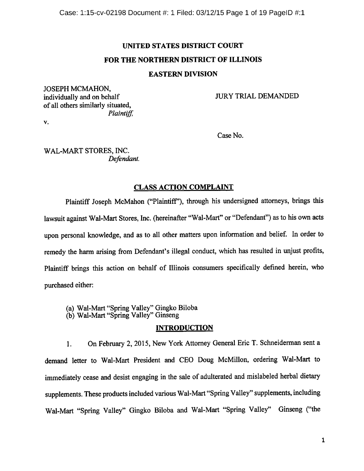# UNITED STATES DISTRICT COURT

# FOR THE NORTHERN DISTRICT OF ILLINOIS

# EASTERN DIVISION

JOSEPH MCMAHON, individually and on behalf JURY TRIAL DEMANDED of all others similarly situated, Plaintiff

V.

Case No.

WAL-MART STORES, INC. Defendant.

# CLASS ACTION COMPLAINT

Plaintiff Joseph McMahon ("Plaintiff'), through his undersigned attorneys, brings this lawsuit against Wal-Mart Stores, Inc. (hereinafter "Wal-Mart" or "Defendant") as to his own acts upon personal knowledge, and as to all other matters upon information and belief. In order to remedy the harm arising from Defendant's illegal conduct, which has resulted in unjust profits, Plaintiff brings this action on behalf of Illinois consumers specifically defined herein, who purchased either:

(a) Wal-Mart "Spring Valley" Gingko Biloba

(b) Wal-Mart "Spring Valley" Ginseng

# INTRODUCTION

1. On February 2, 2015, New York Attorney General Eric T. Schneiderman sent <sup>a</sup> demand letter to Wal-Mart President and CEO Doug McMillon, ordering Wal-Mart to immediately cease and desist engaging in the sale of adulterated and mislabeled herbal dietary supplements. These products included various Wal-Mart "Spring Valley" supplements, including Wal-Mart "Spring Valley" Gingko Biloba and Wal-Mart "Spring Valley" Ginseng ("the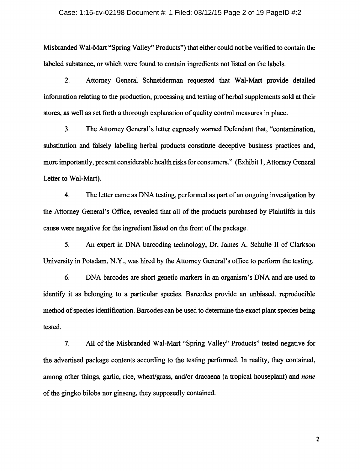#### Case: 1:15-cv-02198 Document #: 1 Filed: 03/12/15 Page 2 of 19 PageID #:2

Misbranded Wal-Mart "Spring Valley" Products") that either could not be verified to contain the labeled substance, or which were found to contain ingredients not listed on the labels.

2. Attorney General Schneiderman requested that Wal-Mart provide detailed information relating to the production, processing and testing of herbal supplements sold at their stores, as well as set forth a thorough explanation of quality control measures in place.

3. The Attorney General's letter expressly warned Defendant that, "contamination, substitution and falsely labeling herbal products constitute deceptive business practices and, more importantly, present considerable health risks for consumers." (Exhibit 1, Attorney General Letter to Wal-Mart).

4. The letter came as DNA testing, performed as part of an ongoing investigation by the Attorney General's Office, revealed that all of the products purchased by Plaintiffs in this cause were negative for the ingredient listed on the front of the package.

5. An expert in DNA barcoding technology, Dr. James A. Schulte II of Clarkson University in Potsdam, N.Y., was hired by the Attorney General's office to perform the testing.

6. DNA barcodes are short genetic markers in an organism's DNA and are used to identify it as belonging to <sup>a</sup> particular species. Barcodes provide an unbiased, reproducible method of species identification. Barcodes can be used to determine the exact plant species being tested.

7. All of the Misbranded Wal-Mart "Spring Valley" Products" tested negative for the advertised package contents according to the testing performed. In reality, they contained, among other things, garlic, rice, wheat/grass, and/or dracaena (a tropical houseplant) and *none* of the gingko biloba nor ginseng, they supposedly contained.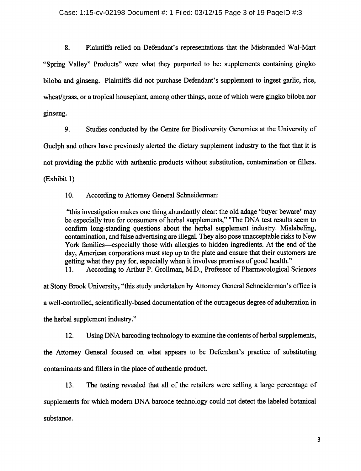8. Plaintiffs relied on Defendant's representations that the Misbranded Wal-Mart "Spring Valley" Products" were what they purported to be: supplements containing gingko biloba and ginseng. Plaintiffs did not purchase Defendant's supplement to ingest garlic, rice, wheat/grass, or a tropical houseplant, among other things, none of which were gingko biloba nor ginseng.

9. Studies conducted by the Centre for Biodiversity Genomics at the University of Guelph and others have previously alerted the dietary supplement industry to the fact that it is not providing the public with authentic products without substitution, contamination or fillers. (Exhibit 1)

10. According to Attorney General Schneiderman:

"this investigation makes one thing abundantly clear: the old adage 'buyer beware' may be especially true for consumers of herbal supplements," "The DNA test results seem to confirm long-standing questions about the herbal supplement industry. Mislabeling, contamination, and false advertising are illegal. They also pose unacceptable risks to New York families—especially those with allergies to hidden ingredients. At the end of the day, American corporations must step up to the plate and ensure that their customers are getting what they pay for, especially when it involves promises of good health."<br>11. According to Arthur P. Grollman, M.D., Professor of Pharmacological S According to Arthur P. Grollman, M.D., Professor of Pharmacological Sciences

at Stony Brook University, "this study undertaken by Attorney General Schneiderman's office is a well-controlled, scientifically-based documentation of the outrageous degree of adulteration in the herbal supplement industry."

12. Using DNA barcoding technology to examine the contents of herbal supplements,

the Attorney General focused on what appears to be Defendant's practice of substituting contaminants and fillers in the place of authentic product.

13. The testing revealed that all of the retailers were selling <sup>a</sup> large percentage of supplements for which modern DNA barcode technology could not detect the labeled botanical substance.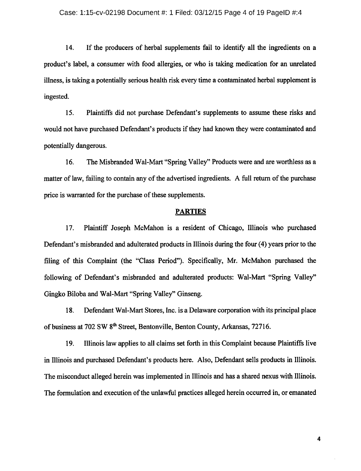14. If the producers of herbal supplements fail to identify all the ingredients on <sup>a</sup> product's label, <sup>a</sup> consumer with food allergies, or who is taking medication for an unrelated illness, is taking a potentially serious health risk every time <sup>a</sup> contaminated herbal supplement is ingested.

15. Plaintiffs did not purchase Defendant's supplements to assume these risks and would not have purchased Defendant's products if they had known they were contaminated and potentially dangerous.

16. The Misbranded Wal-Mart "Spring Valley" Products were and are worthless as <sup>a</sup> matter of law, failing to contain any of the advertised ingredients. A full return of the purchase price is warranted for the purchase of these supplements.

# PARTIES

17. Plaintiff Joseph McMahon is <sup>a</sup> resident of Chicago, Illinois who purchased Defendant's misbranded and adulterated products in Illinois during the four (4) years prior to the filing of this Complaint (the "Class Period"). Specifically, Mr. McMahon purchased the following of Defendant's misbranded and adulterated products: Wal-Mart "Spring Valley" Gingko Biloba and Wal-Mart "Spring Valley" Ginseng.

18. Defendant Wal-Mart Stores, Inc. is <sup>a</sup> Delaware corporation with its principal place of business at 702 SW 8<sup>th</sup> Street, Bentonville, Benton County, Arkansas, 72716.

19. Illinois law applies to all claims set forth in this Complaint because Plaintiffs live in Illinois and purchased Defendant's products here. Also, Defendant sells products in Illinois. The misconduct alleged herein was implemented in Illinois and has <sup>a</sup> shared nexus with Illinois. The formulation and execution of the unlawful practices alleged herein occurred in, or emanated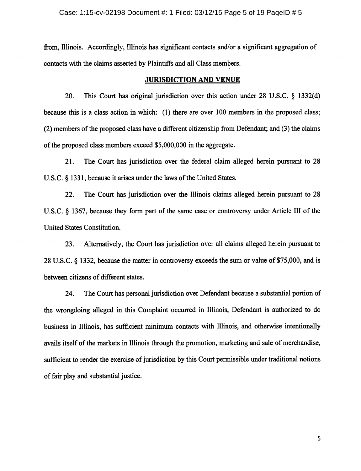from, Illinois. Accordingly, Illinois has significant contacts and/or <sup>a</sup> significant aggregation of contacts with the claims asserted by Plaintiffs and all Class members.

#### JURISDICTION AND VENUE

20. This Court has original jurisdiction over this action under 28 U.S.C.  $\S$  1332(d) because this is <sup>a</sup> class action in which: (1) there are over 100 members in the proposed class; (2) members of the proposed class have a different citizenship from Defendant; and (3) the claims of the proposed class members exceed \$5,000,000 in the aggregate.

21. The Court has jurisdiction over the federal claim alleged herein pursuant to 28 U.S.C.  $\S$  1331, because it arises under the laws of the United States.

22. The Court has jurisdiction over the Illinois claims alleged herein pursuant to <sup>28</sup> U.S.C.  $\&$  1367, because they form part of the same case or controversy under Article III of the United States Constitution.

23. Alternatively, the Court has jurisdiction over all claims alleged herein pursuant to 28 U.S.C. § 1332, because the matter in controversy exceeds the sum or value of \$75,000, and is between citizens of different states.

24. The Court has personal jurisdiction over Defendant because <sup>a</sup> substantial portion of the wrongdoing alleged in this Complaint occurred in Illinois, Defendant is authorized to do business in Illinois, has sufficient minimum contacts with Illinois, and otherwise intentionally avails itself of the markets in Illinois through the promotion, marketing and sale of merchandise, sufficient to render the exercise of jurisdiction by this Court permissible under traditional notions of fair play and substantial justice.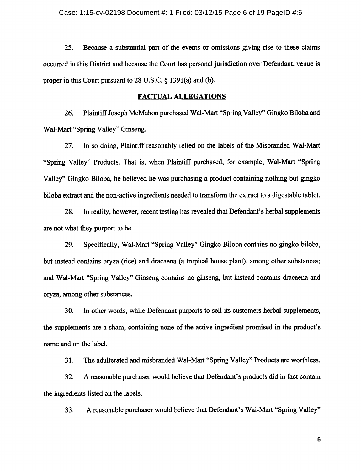25. Because <sup>a</sup> substantial part of the events or omissions giving rise to these claims occurred in this District and because the Court has personal jurisdiction over Defendant, venue is proper in this Court pursuant to  $28$  U.S.C.  $\S$  1391(a) and (b).

## FACTUAL ALLEGATIONS

26. PlaintiffJoseph McMahon purchased Wal-Mart "Spring Valley" Gingko Biloba and Wal-Mart "Spring Valley" Ginseng.

27. In so doing, Plaintiff reasonably relied on the labels of the Misbranded Wal-Mart "Spring Valley" Products. That is, when Plaintiff purchased, for example, Wal-Mart "Spring Valley" Gingko Biloba, he believed he was purchasing <sup>a</sup> product containing nothing but gingko biloba extract and the non-active ingredients needed to transform the extract to <sup>a</sup> digestable tablet.

28. In reality, however, recent testing has revealed that Defendant's herbal supplements are not what they purport to be.

29. Specifically, Wal-Mart "Spring Valley" Gingko Biloba contains no gingko biloba, but instead contains oryza (rice) and dracaena (a tropical house plant), among other substances; and Wal-Mart "Spring Valley" Ginseng contains no ginseng, but instead contains dracaena and oryza, among other substances.

30. In other words, while Defendant purports to sell its customers herbal supplements, the supplements are <sup>a</sup> sham, containing none of the active ingredient promised in the product's name and on the label.

31. The adulterated and misbranded Wal-Mart "Spring Valley" Products are worthless.

32. A reasonable purchaser would believe that Defendant's products did in fact contain the ingredients listed on the labels.

33. A reasonable purchaser would believe that Defendant's Wal-Mart "Spring Valley"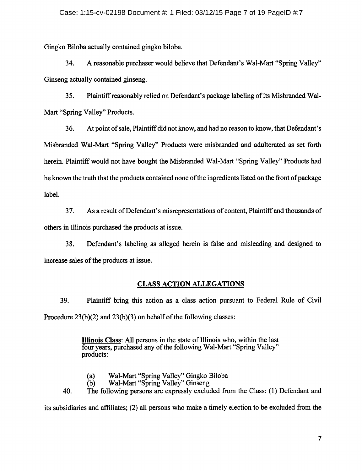Gingko Biloba actually contained gingko biloba.

34. A reasonable purchaser would believe that Defendant's Wal-Mart "Spring Valley" Ginseng actually contained ginseng.

35. Plaintiffreasonably relied on Defendant's package labeling ofits Misbranded Wal-Mart "Spring Valley" Products.

36. At point ofsale, Plaintiffdid not know, and had no reason to know, that Defendant's Misbranded Wal-Mart "Spring Valley" Products were misbranded and adulterated as set forth herein. Plaintiff would not have bought the Misbranded Wal-Mart "Spring Valley" Products had he known the truth that the products contained none of the ingredients listed on the front of package label.

37. As a result of Defendant's misrepresentations of content, Plaintiff and thousands of others in Illinois purchased the products at issue.

38. Defendant's labeling as alleged herein is false and misleading and designed to increase sales of the products at issue.

# CLASS ACTION ALLEGATIONS

39. Plaintiff bring this action as <sup>a</sup> class action pursuant to Federal Rule of Civil Procedure  $23(b)(2)$  and  $23(b)(3)$  on behalf of the following classes:

> Illinois Class: All persons in the state of Illinois who, within the last four years, purchased any of the following Wal-Mart "Spring Valley" products:

- (a) Wal-Mart "Spring Valley" Gingko Biloba
	- Wal-Mart "Spring Valley" Ginseng

40. The following persons are expressly excluded from the Class: (1) Defendant and

its subsidiaries and affiliates; (2) all persons who make <sup>a</sup> timely election to be excluded from the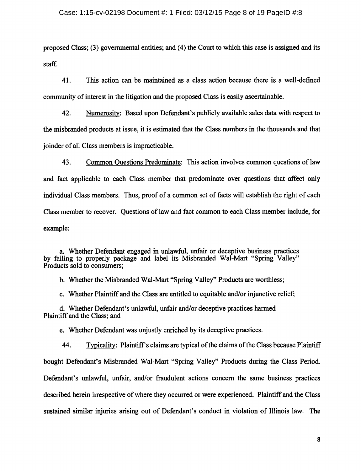#### Case: 1:15-cv-02198 Document #: 1 Filed: 03/12/15 Page 8 of 19 PageID #:8

proposed Class; (3) governmental entities; and (4) the Court to which this case is assigned and its staff.

41. This action can be maintained as a class action because there is a well-defined community of interest in the litigation and the proposed Class is easily ascertainable.

42. Numerosity: Based upon Defendant's publicly available sales data with respect to the misbranded products at issue, it is estimated that the Class numbers in the thousands and that joinder ofall Class members is impracticable.

43. Common Questions Predominate: This action involves common questions of law and fact applicable to each Class member that predominate over questions that affect only individual Class members. Thus, proof of <sup>a</sup> common set of facts will establish the right of each Class member to recover. Questions of law and fact common to each Class member include, for example:

a. Whether Defendant engaged in unlawful, unfair or deceptive business practices by failing to properly package and label its Misbranded Wal-Mart "Spring Valley" Products sold to consumers;

b. Whether the Misbranded Wal-Mart "Spring Valley" Products are worthless;

c. Whether Plaintiff and the Class are entitled to equitable and/or injunctive relief;

d. Whether Defendant's unlawful, unfair and/or deceptive practices harmed Plaintiff and the Class; and

e. Whether Defendant was unjustly enriched by its deceptive practices.

44. Typicality: Plaintiff's claims are typical of the claims of the Class because Plaintiff bought Defendant's Misbranded Wal-Mart "Spring Valley" Products during the Class Period. Defendant's unlawful, unfair, and/or fraudulent actions concern the same business practices described herein irrespective of where they occurred or were experienced. Plaintiff and the Class sustained similar injuries arising out of Defendant's conduct in violation of Illinois law. The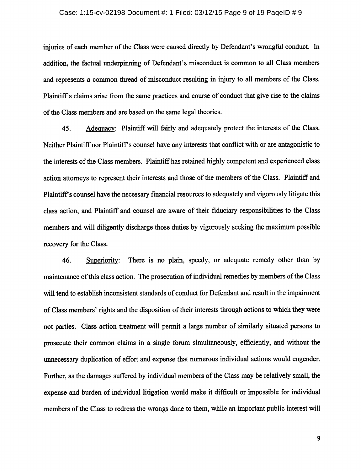#### Case: 1:15-cv-02198 Document #: 1 Filed: 03/12/15 Page 9 of 19 PageID #:9

injuries of each member of the Class were caused directly by Defendant's wrongful conduct. In addition, the factual underpinning of Defendant's misconduct is common to all Class members and represents <sup>a</sup> common thread of misconduct resulting in injury to all members of the Class. Plaintiff's claims arise from the same practices and course of conduct that give rise to the claims ofthe Class members and are based on the same legal theories.

45. Adequacy: Plaintiff will fairly and adequately protect the interests of the Class. Neither Plaintiff nor Plaintiff <sup>s</sup> counsel have any interests that conflict with or are antagonistic to the interests of the Class members. Plaintiff has retained highly competent and experienced class action attorneys to represent their interests and those of the members of the Class. Plaintiff and Plaintiff's counsel have the necessary financial resources to adequately and vigorously litigate this class action, and Plaintiff and counsel are aware of their fiduciary responsibilities to the Class members and will diligently discharge those duties by vigorously seeking the maximum possible recovery for the Class.

46. Superiority: There is no plain, speedy, or adequate remedy other than by maintenance of this class action. The prosecution of individual remedies by members of the Class will tend to establish inconsistent standards of conduct for Defendant and result in the impairment of Class members' rights and the disposition of their interests through actions to which they were not parties. Class action treatment will permit <sup>a</sup> large number of similarly situated persons to prosecute their common claims in <sup>a</sup> single forum simultaneously, efficiently, and without the unnecessary duplication of effort and expense that numerous individual actions would engender. Further, as the damages suffered by individual members of the Class may be relatively small, the expense and burden of individual litigation would make it difficult or impossible for individual members of the Class to redress the wrongs done to them, while an important public interest will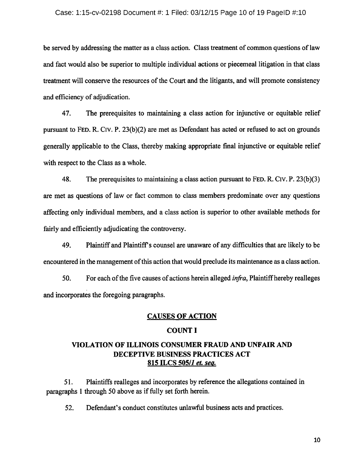#### Case: 1:15-cv-02198 Document #: 1 Filed: 03/12/15 Page 10 of 19 PageID #:10

be served by addressing the matter as a class action. Class treatment of common questions of law and fact would also be superior to multiple individual actions or piecemeal litigation in that class treatment will conserve the resources of the Court and the litigants, and will promote consistency and efficiency of adjudication.

47. The prerequisites to maintaining <sup>a</sup> class action for injunctive or equitable relief pursuant to FED. R. Civ. P. 23(b)(2) are met as Defendant has acted or refused to act on grounds generally applicable to the Class, thereby making appropriate final injunctive or equitable relief with respect to the Class as <sup>a</sup> whole.

48. The prerequisites to maintaining <sup>a</sup> class action pursuant to FED. R. Civ. P. 23(b)(3) are met as questions of law or fact common to class members predominate over any questions affecting only individual members, and a class action is superior to other available methods for fairly and efficiently adjudicating the controversy.

49. Plaintiff and Plaintiffis counsel are unaware of any difficulties that are likely to be encountered in the management of this action that would preclude its maintenance as a class action.

50. For each of the five causes of actions herein alleged *infra*, Plaintiff hereby realleges and incorporates the foregoing paragraphs.

# CAUSES OF ACTION

# COUNT I

# VIOLATION OF ILLINOIS CONSUMER FRAUD AND UNFAIR AND DECEPTIVE BUSINESS PRACTICES ACT 815 ILCS 505/1 et. seq.

51. Plaintiffs realleges and incorporates by reference the allegations contained in paragraphs 1 through 50 above as if fully set forth herein.

52. Defendant's conduct constitutes unlawful business acts and practices.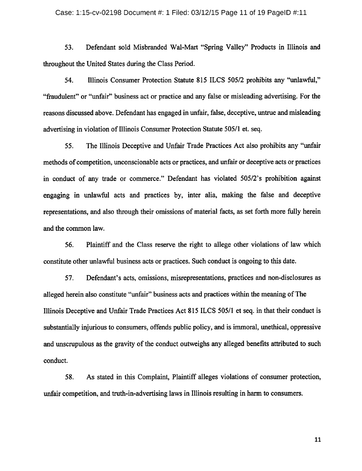#### Case: 1:15-cv-02198 Document  $\#$ : 1 Filed: 03/12/15 Page 11 of 19 PageID  $\#$ :11

53. Defendant sold Misbranded Wal-Mart "Spring Valley" Products in Illinois and throughout the United States during the Class Period.

54. Illinois Consumer Protection Statute 815 ILCS 505/2 prohibits any "unlawful, "fraudulent" or "unfair" business act or practice and any false or misleading advertising. For the reasons discussed above. Defendant has engaged in unfair, false, deceptive, untrue and misleading advertising in violation of Illinois Consumer Protection Statute 505/1 et. seq.

55. The Illinois Deceptive and Unfair Trade Practices Act also prohibits any "unfair methods of competition, unconscionable acts or practices, and unfair or deceptive acts or practices in conduct of any trade or commerce." Defendant has violated 505/2's prohibition against engaging in unlawful acts and practices by, inter alia, making the false and deceptive representations, and also through their omissions of material facts, as set forth more fully herein and the common law.

56. Plaintiff and the Class reserve the right to allege other violations of law which constitute other unlawful business acts or practices. Such conduct is ongoing to this date.

57. Defendant's acts, omissions, misrepresentations, practices and non-disclosures as alleged herein also constitute "unfair" business acts and practices within the meaning of The Illinois Deceptive and Unfair Trade Practices Act <sup>815</sup> ILCS 505/1 et seq. in that their conduct is substantially injurious to consumers, offends public policy, and is immoral, unethical, oppressive and unscrupulous as the gravity of the conduct outweighs any alleged benefits attributed to such conduct.

58. As stated in this Complaint, Plaintiff alleges violations of consumer protection, unfair competition, and truth-in-advertising laws in Illinois resulting in harm to consumers.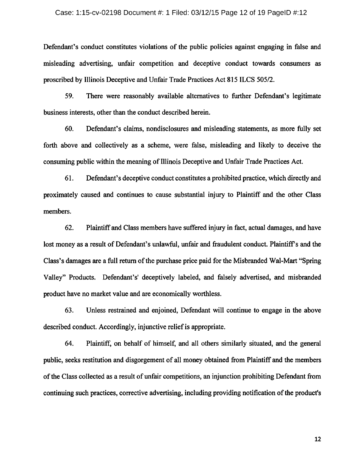#### Case: 1:15-cv-02198 Document #: 1 Filed: 03/12/15 Page 12 of 19 PageID #:12

Defendant's conduct constitutes violations of the public policies against engaging in false and misleading advertising, unfair competition and deceptive conduct towards consumers as proscribed by Illinois Deceptive and Unfair Trade Practices Act 815 ILCS 505/2.

59. There were reasonably available alternatives to further Defendant's legitimate business interests, other than the conduct described herein.

60. Defendant's claims, nondisclosures and misleading statements, as more fully set forth above and collectively as <sup>a</sup> scheme, were false, misleading and likely to deceive the consuming public within the meaning of Illinois Deceptive and Unfair Trade Practices Act.

61. Defendant's deceptive conduct constitutes <sup>a</sup> prohibited practice, which directly and proximately caused and continues to cause substantial injury to Plaintiff and the other Class members.

62. Plaintiff and Class members have suffered injury in fact, actual damages, and have lost money as a result of Defendant's unlawful, unfair and fraudulent conduct. Plaintiff's and the Class's damages are a full return of the purchase price paid for the Misbranded Wal-Mart "Spring Valley" Products. Defendant's' deceptively labeled, and falsely advertised, and misbranded product have no market value and are economically worthless.

63. Unless restrained and enjoined, Defendant will continue to engage in the above described conduct. Accordingly, injunctive relief is appropriate.

64. Plaintiff, on behalf of himself, and all others similarly situated, and the general public, seeks restitution and disgorgement of all money obtained from Plaintiff and the members ofthe Class collected as <sup>a</sup> result of unfair competitions, an injunction prohibiting Defendant from continuing such practices, corrective advertising, including providing notification of the product's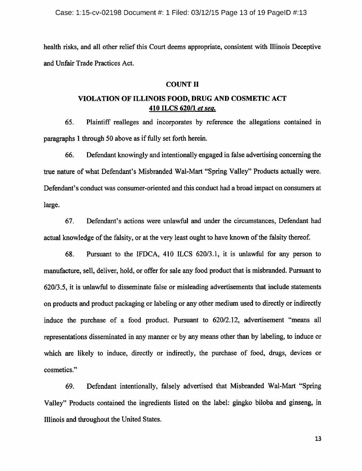health risks, and all other relief this Court deems appropriate, consistent with Illinois Deceptive and Unfair Trade Practices Act.

# COUNT II

# VIOLATION OF ILLINOIS FOOD, DRUG AND COSMETIC ACT 410 ILCS 620/1 et sea.

65. Plaintiff realleges and incorporates by reference the allegations contained in paragraphs 1 through 50 above as if fully set forth herein.

66. Defendant knowingly and intentionally engaged in false advertising concerning the true nature of what Defendant's Misbranded Wal-Mart "Spring Valley" Products actually were. Defendant's conduct was consumer-oriented and this conduct had a broad impact on consumers at large.

67. Defendant's actions were unlawful and under the circumstances, Defendant had actual knowledge of the falsity, or at the very least ought to have known of the falsity thereof.

68. Pursuant to the IFDCA, 410 ILCS 620/3.1, it is unlawful for any person to manufacture, sell, deliver, hold, or offer for sale any food product that is misbranded. Pursuant to 620/3.5, it is unlawful to disseminate false or misleading advertisements that include statements on products and product packaging or labeling or any other medium used to directly or indirectly induce the purchase of <sup>a</sup> food product. Pursuant to 620/2.12, advertisement "means all representations disseminated in any manner or by any means other than by labeling, to induce or which are likely to induce, directly or indirectly, the purchase of food, drugs, devices or cosmetics."

69. Defendant intentionally, falsely advertised that Misbranded Wal-Mart "Spring Valley" Products contained the ingredients listed on the label: gingko biloba and ginseng, in Illinois and throughout the United States.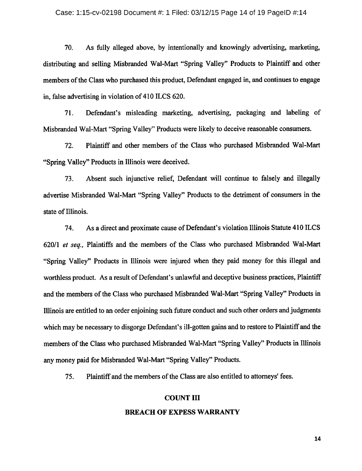#### Case: 1:15-cv-02198 Document #: 1 Filed: 03/12/15 Page 14 of 19 PageID #:14

70. As fully alleged above, by intentionally and knowingly advertising, marketing, distributing and selling Misbranded Wal-Mart "Spring Valley" Products to Plaintiff and other members of the Class who purchased this product, Defendant engaged in, and continues to engage in, false advertising in violation of <sup>410</sup> ILCS 620.

71. Defendant's misleading marketing, advertising, packaging and labeling of Misbranded Wal-Mart "Spring Valley" Products were likely to deceive reasonable consumers.

72. Plaintiff and other members of the Class who purchased Misbranded Wal-Mart "Spring Valley" Products in Illinois were deceived.

73. Absent such injunctive relief, Defendant will continue to falsely and illegally advertise Misbranded Wal-Mart "Spring Valley" Products to the detriment of consumers in the state of Illinois.

74. As a direct and proximate cause of Defendant's violation Illinois Statute 410 ILCS 620/1 et seq., Plaintiffs and the members of the Class who purchased Misbranded Wal-Mart "Spring Valley" Products in Illinois were injured when they paid money for this illegal and worthless product. As a result of Defendant's unlawful and deceptive business practices, Plaintiff and the members of the Class who purchased Misbranded Wal-Mart "Spring Valley" Products in Illinois are entitled to an order enjoining such future conduct and such other orders and judgments which may be necessary to disgorge Defendant's ill-gotten gains and to restore to Plaintiff and the members of the Class who purchased Misbranded Wal-Mart "Spring Valley" Products in Illinois any money paid for Misbranded Wal-Mart "Spring Valley" Products.

75. Plaintiff and the members of the Class are also entitled to attorneys' fees.

## COUNT III

#### BREACH OF EXPESS WARRANTY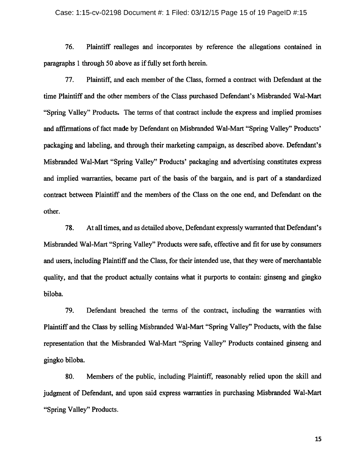#### Case: 1:15-cv-02198 Document #: 1 Filed: 03/12/15 Page 15 of 19 PageID #:15

76. Plaintiff realleges and incorporates by reference the allegations contained in paragraphs 1 through 50 above as if fully set forth herein.

77. Plaintiff, and each member of the Class, formed <sup>a</sup> contract with Defendant at the time Plaintiff and the other members of the Class purchased Defendant's Misbranded Wal-Mart "Spring Valley" Products. The terms of that contract include the express and implied promises and affirmations of fact made by Defendant on Misbranded Wal-Mart "Spring Valley" Products' packaging and labeling, and through their marketing campaign, as described above. Defendant's Misbranded Wal-Mart "Spring Valley" Products' packaging and advertising constitutes express and implied warranties, became part of the basis of the bargain, and is part of <sup>a</sup> standardized contract between Plaintiff and the members of the Class on the one end, and Defendant on the other.

78. At all times, and as detailed above, Defendant expressly warranted that Defendant's Misbranded Wal-Mart "Spring Valley" Products were safe, effective and fit for use by consumers and users, including Plaintiff and the Class, for their intended use, that they were of merchantable quality, and that the product actually contains what it purports to contain: ginseng and gingko biloba.

79. Defendant breached the terms of the contract, including the warranties with Plaintiff and the Class by selling Misbranded Wal-Mart "Spring Valley" Products, with the false representation that the Misbranded Wal-Mart "Spring Valley" Products contained ginseng and gingko biloba.

80. Members of the public, including Plaintiff, reasonably relied upon the skill and judgment of Defendant, and upon said express warranties in purchasing Misbranded Wal-Mart "Spring Valley" Products.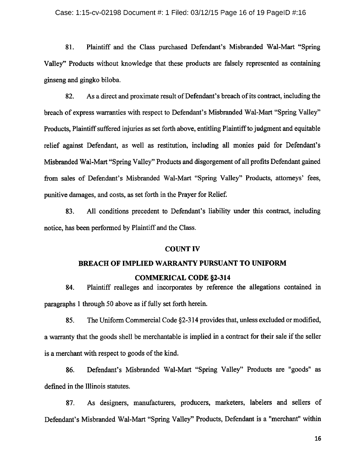81. Plaintiff and the Class purchased Defendant's Misbranded Wal-Mart "Spring Valley" Products without knowledge that these products are falsely represented as containing ginseng and gingko biloba.

82. As a direct and proximate result of Defendant's breach of its contract, including the breach of express warranties with respect to Defendant's Misbranded Wal-Mart "Spring Valley" Products, Plaintiff suffered injuries as set forth above, entitling Plaintiffto judgment and equitable relief against Defendant, as well as restitution, including all monies paid for Defendant's Misbranded Wal-Mart "Spring Valley" Products and disgorgement ofall profits Defendant gained from sales of Defendant's Misbranded Wal-Mart "Spring Valley" Products, attorneys' fees, punitive damages, and costs, as set forth in the Prayer for Relief.

83. All conditions precedent to Defendant's liability under this contract, including notice, has been performed by Plaintiff and the Class.

## COUNT IV

#### BREACH OF IMPLIED WARRANTY PURSUANT TO UNIFORM

## COMMERICAL CODE §2-314

84. Plaintiff realleges and incorporates by reference the allegations contained in paragraphs 1 through 50 above as if fully set forth herein.

85. The Uniform Commercial Code §2-314 provides that, unless excluded or modified, a warranty that the goods shell be merchantable is implied in a contract for their sale if the seller is a merchant with respect to goods of the kind.

86. Defendant's Misbranded Wal-Mart "Spring Valley" Products are "goods" as defined in the Illinois statutes.

87. As designers, manufacturers, producers, marketers, labelers and sellers of Defendant's Misbranded Wal-Mart "Spring Valley" Products, Defendant is <sup>a</sup> "merchant" within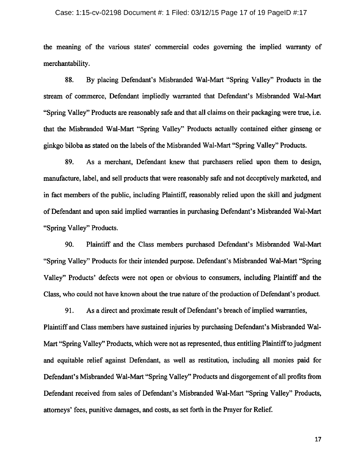#### Case: 1:15-cv-02198 Document #: 1 Filed: 03/12/15 Page 17 of 19 PageID #:17

the meaning of the various states' commercial codes governing the implied warranty of merchantability.

88. By placing Defendant's Misbranded Wal-Mart "Spring Valley" Products in the stream of commerce, Defendant impliedly warranted that Defendant's Misbranded Wal-Mart "Spring Valley" Products are reasonably safe and that all claims on their packaging were true, i.e. that the Misbranded Wal-Mart "Spring Valley" Products actually contained either ginseng or ginkgo biloba as stated on the labels of the Misbranded Wal-Mart "Spring Valley" Products.

89. As a merchant, Defendant knew that purchasers relied upon them to design, manufacture, label, and sell products that were reasonably safe and not deceptively marketed, and in fact members of the public, including Plaintiff, reasonably relied upon the skill and judgment of Defendant and upon said implied warranties in purchasing Defendant's Misbranded Wal-Mart "Spring Valley" Products.

90. Plaintiff and the Class members purchased Defendant's Misbranded Wal-Mart "Spring Valley" Products for their intended purpose. Defendant's Misbranded Wal-Mart "Spring Valley" Products' defects were not open or obvious to consumers, including Plaintiff and the Class, who could not have known about the true nature of the production of Defendant's product.

91. As a direct and proximate result of Defendant's breach of implied warranties,

Plaintiff and Class members have sustained injuries by purchasing Defendant's Misbranded Wal-Mart "Spring Valley" Products, which were not as represented, thus entitling Plaintiffto judgment and equitable relief against Defendant, as well as restitution, including all monies paid for Defendant's Misbranded Wal-Mart "Spring Valley" Products and disgorgement of all profits from Defendant received from sales of Defendant's Misbranded Wal-Mart "Spring Valley" Products, attorneys' fees, punitive damages, and costs, as set forth in the Prayer for Relief.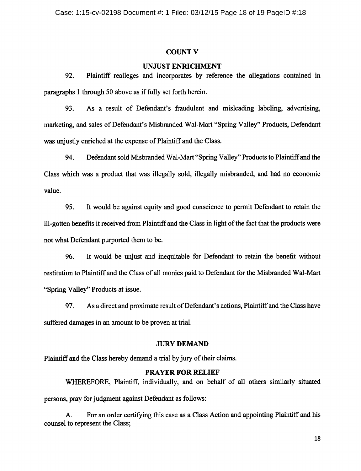## COUNT V

## UNJUST ENRICHMENT

92. Plaintiff realleges and incorporates by reference the allegations contained in paragraphs 1 through 50 above as if fully set forth herein.

93. As <sup>a</sup> result of Defendant's fraudulent and misleading labeling, advertising, marketing, and sales of Defendant's Misbranded Wal-Mart "Spring Valley" Products, Defendant was unjustly enriched at the expense of Plaintiff and the Class.

94. Defendant sold Misbranded Wal-Mart "Spring Valley" Products to Plaintiff and the Class which was a product that was illegally sold, illegally misbranded, and had no economic value.

95. It would be against equity and good conscience to permit Defendant to retain the ill-gotten benefits it received from Plaintiff and the Class in light of the fact that the products were not what Defendant purported them to be.

96. It would be unjust and inequitable for Defendant to retain the benefit without restitution to Plaintiff and the Class of all monies paid to Defendant for the Misbranded Wal-Mart "Spring Valley" Products at issue.

97. As a direct and proximate result of Defendant's actions, Plaintiff and the Class have suffered damages in an amount to be proven at trial.

## JURY DEMAND

Plaintiff and the Class hereby demand a trial by jury of their claims.

## PRAYER FOR RELIEF

WHEREFORE, Plaintiff, individually, and on behalf of all others similarly situated persons, pray for judgment against Defendant as follows:

A. For an order certifying this case as <sup>a</sup> Class Action and appointing Plaintiff and his counsel to represent the Class;